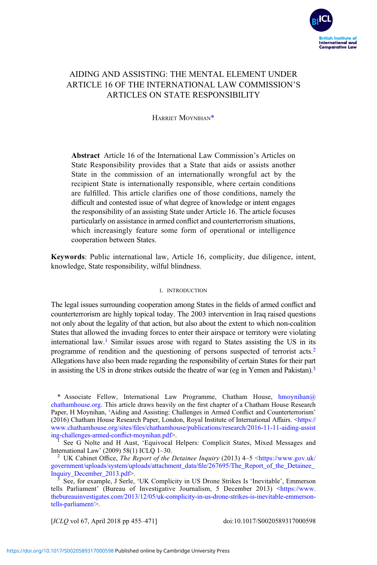

# AIDING AND ASSISTING: THE MENTAL ELEMENT UNDER ARTICLE 16 OF THE INTERNATIONAL LAW COMMISSION'S ARTICLES ON STATE RESPONSIBILITY

HARRIET MOYNIHAN\*

Abstract Article 16 of the International Law Commission's Articles on State Responsibility provides that a State that aids or assists another State in the commission of an internationally wrongful act by the recipient State is internationally responsible, where certain conditions are fulfilled. This article clarifies one of those conditions, namely the difficult and contested issue of what degree of knowledge or intent engages the responsibility of an assisting State under Article 16. The article focuses particularly on assistance in armed conflict and counterterrorism situations, which increasingly feature some form of operational or intelligence cooperation between States.

Keywords: Public international law, Article 16, complicity, due diligence, intent, knowledge, State responsibility, wilful blindness.

#### I. INTRODUCTION

The legal issues surrounding cooperation among States in the fields of armed conflict and counterterrorism are highly topical today. The 2003 intervention in Iraq raised questions not only about the legality of that action, but also about the extent to which non-coalition States that allowed the invading forces to enter their airspace or territory were violating international law.<sup>1</sup> Similar issues arose with regard to States assisting the US in its programme of rendition and the questioning of persons suspected of terrorist acts.2 Allegations have also been made regarding the responsibility of certain States for their part in assisting the US in drone strikes outside the theatre of war (eg in Yemen and Pakistan).<sup>3</sup>

\* Associate Fellow, International Law Programme, Chatham House, [hmoynihan@](mailto:hmoynihan@chathamhouse.org) [chathamhouse.org](mailto:hmoynihan@chathamhouse.org). This article draws heavily on the first chapter of a Chatham House Research Paper, H Moynihan, 'Aiding and Assisting: Challenges in Armed Conflict and Counterterrorism' (2016) Chatham House Research Paper, London, Royal Institute of International Affairs. <[https://](https://www.chathamhouse.org/sites/files/chathamhouse/publications/research/2016-11-11-aiding-assisting-challenges-armed-conflict-moynihan.pdf) www.chathamhouse.org/sites/fi[les/chathamhouse/publications/research/2016-11-11-aiding-assist](https://www.chathamhouse.org/sites/files/chathamhouse/publications/research/2016-11-11-aiding-assisting-challenges-armed-conflict-moynihan.pdf)<br>ing-challenges-armed-conflict-movnihan.pdf>.

<sup>1</sup> See G Nolte and H Aust, 'Equivocal Helpers: Complicit States, Mixed Messages and International Law' (2009) 58(1) ICLO 1–30.

<sup>2</sup> UK Cabinet Office, *The Report of the Detainee Inquiry* (2013) 4–5  $\lt$ [https://www.gov.uk/](https://www.gov.uk/government/uploads/system/uploads/attachment_data/file/267695/The_Report_of_the_Detainee_Inquiry_December_2013.pdf) [government/uploads/system/uploads/attachment\\_data/](https://www.gov.uk/government/uploads/system/uploads/attachment_data/file/267695/The_Report_of_the_Detainee_Inquiry_December_2013.pdf)file/267695/The\_Report\_of\_the\_Detainee\_<br>Inquiry\_December\_2013.pdf>

See, for example, J Serle, 'UK Complicity in US Drone Strikes Is 'Inevitable', Emmerson tells Parliament' (Bureau of Investigative Journalism, 5 December 2013) [<https://www.](https://www.thebureauinvestigates.com/2013/12/05/uk-complicity-in-us-drone-strikes-is-inevitable-emmerson-tells-parliament/) [thebureauinvestigates.com/2013/12/05/uk-complicity-in-us-drone-strikes-is-inevitable-emmerson](https://www.thebureauinvestigates.com/2013/12/05/uk-complicity-in-us-drone-strikes-is-inevitable-emmerson-tells-parliament/)[tells-parliament/](https://www.thebureauinvestigates.com/2013/12/05/uk-complicity-in-us-drone-strikes-is-inevitable-emmerson-tells-parliament/)>.

[ICLQ vol 67, April 2018 pp 455–471] doi:10.1017/S0020589317000598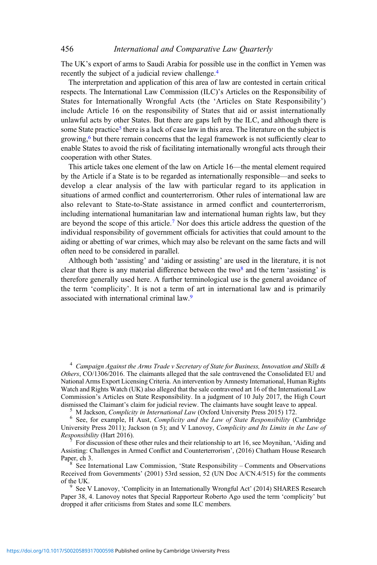The UK's export of arms to Saudi Arabia for possible use in the conflict in Yemen was recently the subject of a judicial review challenge.4

The interpretation and application of this area of law are contested in certain critical respects. The International Law Commission (ILC)'s Articles on the Responsibility of States for Internationally Wrongful Acts (the 'Articles on State Responsibility') include Article 16 on the responsibility of States that aid or assist internationally unlawful acts by other States. But there are gaps left by the ILC, and although there is some State practice<sup>5</sup> there is a lack of case law in this area. The literature on the subject is growing,6 but there remain concerns that the legal framework is not sufficiently clear to enable States to avoid the risk of facilitating internationally wrongful acts through their cooperation with other States.

This article takes one element of the law on Article 16—the mental element required by the Article if a State is to be regarded as internationally responsible—and seeks to develop a clear analysis of the law with particular regard to its application in situations of armed conflict and counterterrorism. Other rules of international law are also relevant to State-to-State assistance in armed conflict and counterterrorism, including international humanitarian law and international human rights law, but they are beyond the scope of this article.<sup>7</sup> Nor does this article address the question of the individual responsibility of government officials for activities that could amount to the aiding or abetting of war crimes, which may also be relevant on the same facts and will often need to be considered in parallel.

Although both 'assisting' and 'aiding or assisting' are used in the literature, it is not clear that there is any material difference between the two $\delta$  and the term 'assisting' is therefore generally used here. A further terminological use is the general avoidance of the term 'complicity'. It is not a term of art in international law and is primarily associated with international criminal law.<sup>9</sup>

<sup>4</sup> Campaign Against the Arms Trade v Secretary of State for Business, Innovation and Skills  $\&$ Others, CO/1306/2016. The claimants alleged that the sale contravened the Consolidated EU and National Arms Export Licensing Criteria. An intervention by Amnesty International, Human Rights Watch and Rights Watch (UK) also alleged that the sale contravened art 16 of the International Law Commission's Articles on State Responsibility. In a judgment of 10 July 2017, the High Court

<sup>5</sup> M Jackson, *Complicity in International Law* (Oxford University Press 2015) 172. <sup>6</sup> See, for example, H Aust, *Complicity and the Law of State Responsibility* (Cambridge University Press 2011); Jackson (n 5); and V Lanovoy, *Complicity and Its Limits in the Law of Responsibility* (Hart 2016).

For discussion of these other rules and their relationship to art 16, see Moynihan, 'Aiding and Assisting: Challenges in Armed Conflict and Counterterrorism', (2016) Chatham House Research

 $8$  See International Law Commission, 'State Responsibility – Comments and Observations Received from Governments' (2001) 53rd session,  $52$  (UN Doc A/CN.4/515) for the comments of the UK

 $\degree$  See V Lanovoy, 'Complicity in an Internationally Wrongful Act' (2014) SHARES Research Paper 38, 4. Lanovoy notes that Special Rapporteur Roberto Ago used the term 'complicity' but dropped it after criticisms from States and some ILC members.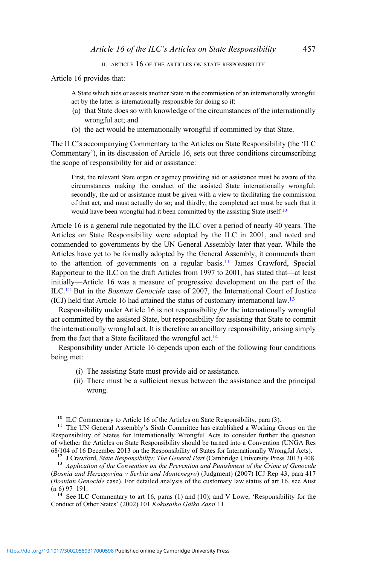II. ARTICLE 16 OF THE ARTICLES ON STATE RESPONSIBILITY

Article 16 provides that:

A State which aids or assists another State in the commission of an internationally wrongful act by the latter is internationally responsible for doing so if:

- (a) that State does so with knowledge of the circumstances of the internationally wrongful act; and
- (b) the act would be internationally wrongful if committed by that State.

The ILC's accompanying Commentary to the Articles on State Responsibility (the 'ILC Commentary'), in its discussion of Article 16, sets out three conditions circumscribing the scope of responsibility for aid or assistance:

First, the relevant State organ or agency providing aid or assistance must be aware of the circumstances making the conduct of the assisted State internationally wrongful; secondly, the aid or assistance must be given with a view to facilitating the commission of that act, and must actually do so; and thirdly, the completed act must be such that it would have been wrongful had it been committed by the assisting State itself.<sup>10</sup>

Article 16 is a general rule negotiated by the ILC over a period of nearly 40 years. The Articles on State Responsibility were adopted by the ILC in 2001, and noted and commended to governments by the UN General Assembly later that year. While the Articles have yet to be formally adopted by the General Assembly, it commends them to the attention of governments on a regular basis.<sup>11</sup> James Crawford, Special Rapporteur to the ILC on the draft Articles from 1997 to 2001, has stated that—at least initially—Article 16 was a measure of progressive development on the part of the ILC.<sup>12</sup> But in the Bosnian Genocide case of 2007, the International Court of Justice (ICJ) held that Article 16 had attained the status of customary international law.13

Responsibility under Article 16 is not responsibility for the internationally wrongful act committed by the assisted State, but responsibility for assisting that State to commit the internationally wrongful act. It is therefore an ancillary responsibility, arising simply from the fact that a State facilitated the wrongful act.<sup>14</sup>

Responsibility under Article 16 depends upon each of the following four conditions being met:

- (i) The assisting State must provide aid or assistance.
- (ii) There must be a sufficient nexus between the assistance and the principal wrong.

<sup>10</sup> ILC Commentary to Article 16 of the Articles on State Responsibility, para (3).<br><sup>11</sup> The UN General Assembly's Sixth Committee has established a Working Group on the Responsibility of States for Internationally Wrongful Acts to consider further the question of whether the Articles on State Responsibility should be turned into a Convention (UNGA Res 68/104 of 16 December 2013 on the Responsibility of States for Internationally Wrongful Acts).

<sup>12</sup> J Crawford, *State Responsibility: The General Part* (Cambridge University Press 2013) 408.<br><sup>13</sup> Application of the Convention on the Prevention and Punishment of the Crime of Genocide

(Bosnia and Herzegovina v Serbia and Montenegro) (Judgment) (2007) ICJ Rep 43, para 417 (Bosnian Genocide case). For detailed analysis of the customary law status of art 16, see Aust  $(n 6)$  97–191.<br><sup>14</sup> See ILC Commentary to art 16, paras (1) and (10); and V Lowe, 'Responsibility for the

Conduct of Other States' (2002) 101 Kokusaiho Gaiko Zassi 11.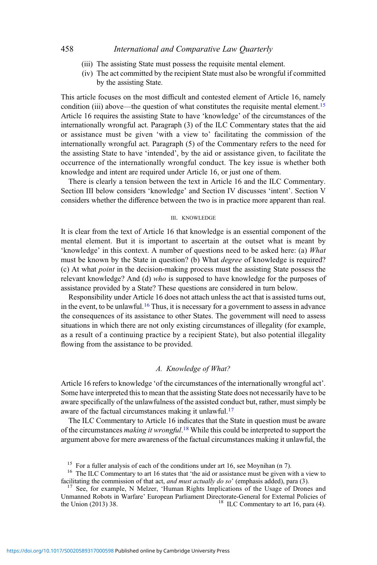- (iii) The assisting State must possess the requisite mental element.
- (iv) The act committed by the recipient State must also be wrongful if committed by the assisting State.

This article focuses on the most difficult and contested element of Article 16, namely condition (iii) above—the question of what constitutes the requisite mental element.<sup>15</sup> Article 16 requires the assisting State to have 'knowledge' of the circumstances of the internationally wrongful act. Paragraph (3) of the ILC Commentary states that the aid or assistance must be given 'with a view to' facilitating the commission of the internationally wrongful act. Paragraph (5) of the Commentary refers to the need for the assisting State to have 'intended', by the aid or assistance given, to facilitate the occurrence of the internationally wrongful conduct. The key issue is whether both knowledge and intent are required under Article 16, or just one of them.

There is clearly a tension between the text in Article 16 and the ILC Commentary. Section III below considers 'knowledge' and Section IV discusses 'intent'. Section V considers whether the difference between the two is in practice more apparent than real.

#### III. KNOWLEDGE

It is clear from the text of Article 16 that knowledge is an essential component of the mental element. But it is important to ascertain at the outset what is meant by 'knowledge' in this context. A number of questions need to be asked here: (a) What must be known by the State in question? (b) What degree of knowledge is required? (c) At what point in the decision-making process must the assisting State possess the relevant knowledge? And (d) who is supposed to have knowledge for the purposes of assistance provided by a State? These questions are considered in turn below.

Responsibility under Article 16 does not attach unless the act that is assisted turns out, in the event, to be unlawful.<sup>16</sup> Thus, it is necessary for a government to assess in advance the consequences of its assistance to other States. The government will need to assess situations in which there are not only existing circumstances of illegality (for example, as a result of a continuing practice by a recipient State), but also potential illegality flowing from the assistance to be provided.

#### A. Knowledge of What?

Article 16 refers to knowledge 'of the circumstances of the internationally wrongful act'. Some have interpreted this to mean that the assisting State does not necessarily have to be aware specifically of the unlawfulness of the assisted conduct but, rather, must simply be aware of the factual circumstances making it unlawful.17

The ILC Commentary to Article 16 indicates that the State in question must be aware of the circumstances *making it wrongful*.<sup>18</sup> While this could be interpreted to support the argument above for mere awareness of the factual circumstances making it unlawful, the

<sup>&</sup>lt;sup>15</sup> For a fuller analysis of each of the conditions under art 16, see Moynihan (n 7).<br><sup>16</sup> The ILC Commentary to art 16 states that 'the aid or assistance must be given with a view to facilitating the commission of that

<sup>&</sup>lt;sup>17</sup> See, for example, N Melzer, 'Human Rights Implications of the Usage of Drones and Unmanned Robots in Warfare' European Parliament Directorate-General for External Policies of the Union (2013) 38.  ${}^{18}$  ILC Commentary to art 16, para (4).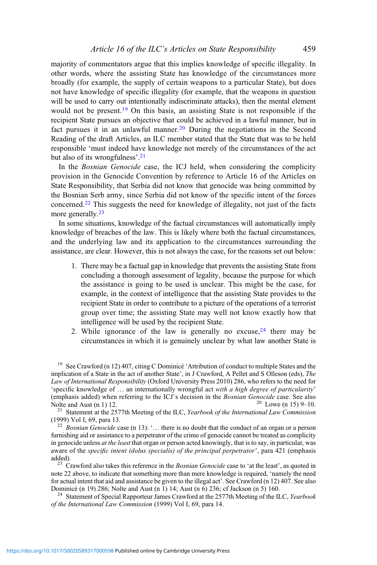### Article 16 of the ILC's Articles on State Responsibility 459

majority of commentators argue that this implies knowledge of specific illegality. In other words, where the assisting State has knowledge of the circumstances more broadly (for example, the supply of certain weapons to a particular State), but does not have knowledge of specific illegality (for example, that the weapons in question will be used to carry out intentionally indiscriminate attacks), then the mental element would not be present.<sup>19</sup> On this basis, an assisting State is not responsible if the recipient State pursues an objective that could be achieved in a lawful manner, but in fact pursues it in an unlawful manner.<sup>20</sup> During the negotiations in the Second Reading of the draft Articles, an ILC member stated that the State that was to be held responsible 'must indeed have knowledge not merely of the circumstances of the act but also of its wrongfulness'. 21

In the *Bosnian Genocide* case, the ICJ held, when considering the complicity provision in the Genocide Convention by reference to Article 16 of the Articles on State Responsibility, that Serbia did not know that genocide was being committed by the Bosnian Serb army, since Serbia did not know of the specific intent of the forces concerned.<sup>22</sup> This suggests the need for knowledge of illegality, not just of the facts more generally.<sup>23</sup>

In some situations, knowledge of the factual circumstances will automatically imply knowledge of breaches of the law. This is likely where both the factual circumstances, and the underlying law and its application to the circumstances surrounding the assistance, are clear. However, this is not always the case, for the reasons set out below:

- 1. There may be a factual gap in knowledge that prevents the assisting State from concluding a thorough assessment of legality, because the purpose for which the assistance is going to be used is unclear. This might be the case, for example, in the context of intelligence that the assisting State provides to the recipient State in order to contribute to a picture of the operations of a terrorist group over time; the assisting State may well not know exactly how that intelligence will be used by the recipient State.
- 2. While ignorance of the law is generally no excuse,  $24$  there may be circumstances in which it is genuinely unclear by what law another State is

<sup>19</sup> See Crawford (n 12) 407, citing C Dominicé 'Attribution of conduct to multiple States and the implication of a State in the act of another State', in J Crawford, A Pellet and S Olleson (eds), The Law of International Responsibility (Oxford University Press 2010) 286, who refers to the need for 'specific knowledge of … an internationally wrongful act with a high degree of particularity' (emphasis added) when referring to the ICJ's decision in the *Bosnian Genocide* case. See also Nolte and Aust (n 1) 12.

<sup>21</sup> Statement at the 2577th Meeting of the ILC, *Yearbook of the International Law Commission* (1999) Vol I, 69, para 13.

 $\frac{22}{2}$  Bosnian Genocide case (n 13): '... there is no doubt that the conduct of an organ or a person furnishing aid or assistance to a perpetrator of the crime of genocide cannot be treated as complicity in genocide unless at the least that organ or person acted knowingly, that is to say, in particular, was aware of the specific intent (dolus specialis) of the principal perpetrator', para 421 (emphasis added).

<sup>23</sup> Crawford also takes this reference in the *Bosnian Genocide* case to 'at the least', as quoted in note 22 above, to indicate that something more than mere knowledge is required, 'namely the need for actual intent that aid and assistance be given to the illegal act'. See Crawford (n 12) 407. See also Dominicé (n 19) 286; Nolte and Aust (n 1) 14; Aust (n 6) 236; cf Jackson (n 5) 160.<br><sup>24</sup> Statement of Special Rapporteur James Crawford at the 2577th Meeting of the ILC, *Yearbook* 

of the International Law Commission (1999) Vol I, 69, para 14.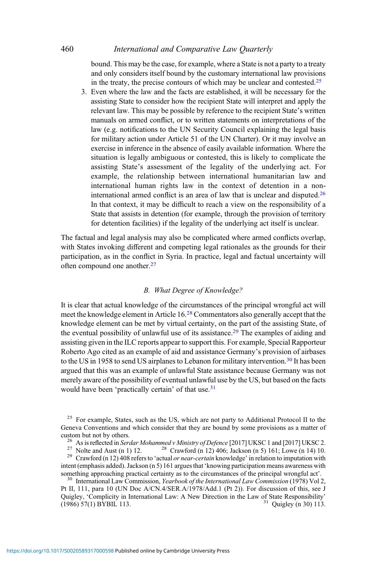bound. This may be the case, for example, where a State is not a party to a treaty and only considers itself bound by the customary international law provisions in the treaty, the precise contours of which may be unclear and contested.<sup>25</sup>

3. Even where the law and the facts are established, it will be necessary for the assisting State to consider how the recipient State will interpret and apply the relevant law. This may be possible by reference to the recipient State's written manuals on armed conflict, or to written statements on interpretations of the law (e.g. notifications to the UN Security Council explaining the legal basis for military action under Article 51 of the UN Charter). Or it may involve an exercise in inference in the absence of easily available information. Where the situation is legally ambiguous or contested, this is likely to complicate the assisting State's assessment of the legality of the underlying act. For example, the relationship between international humanitarian law and international human rights law in the context of detention in a noninternational armed conflict is an area of law that is unclear and disputed.<sup>26</sup> In that context, it may be difficult to reach a view on the responsibility of a State that assists in detention (for example, through the provision of territory for detention facilities) if the legality of the underlying act itself is unclear.

The factual and legal analysis may also be complicated where armed conflicts overlap, with States invoking different and competing legal rationales as the grounds for their participation, as in the conflict in Syria. In practice, legal and factual uncertainty will often compound one another.<sup>27</sup>

## B. What Degree of Knowledge?

It is clear that actual knowledge of the circumstances of the principal wrongful act will meet the knowledge element in Article 16.<sup>28</sup> Commentators also generally accept that the knowledge element can be met by virtual certainty, on the part of the assisting State, of the eventual possibility of unlawful use of its assistance.<sup>29</sup> The examples of aiding and assisting given in the ILC reports appear to support this. For example, Special Rapporteur Roberto Ago cited as an example of aid and assistance Germany's provision of airbases to the US in 1958 to send US airplanes to Lebanon for military intervention.<sup>30</sup> It has been argued that this was an example of unlawful State assistance because Germany was not merely aware of the possibility of eventual unlawful use by the US, but based on the facts would have been 'practically certain' of that use.<sup>31</sup>

<sup>&</sup>lt;sup>25</sup> For example, States, such as the US, which are not party to Additional Protocol II to the Geneva Conventions and which consider that they are bound by some provisions as a matter of custom but not by others.

<sup>&</sup>lt;sup>26</sup> As is reflected in *Serdar Mohammed v Ministry of Defence* [2017] UKSC 1 and [2017] UKSC 2.<br><sup>27</sup> Nolte and Aust (n 1) 12. <sup>28</sup> Crawford (n 12) 406; Jackson (n 5) 161; Lowe (n 14) 10.<br><sup>29</sup> Crawford (n 12) 408 refers t intent (emphasis added). Jackson (n 5) 161 argues that 'knowing participation means awareness with something approaching practical certainty as to the circumstances of the principal wrongful act'.

<sup>&</sup>lt;sup>30</sup> International Law Commission, *Yearbook of the International Law Commission* (1978) Vol 2, Pt II, 111, para 10 (UN Doc A/CN.4/SER.A/1978/Add.1 (Pt 2)). For discussion of this, see J Quigley, 'Complicity in International Law: A New Direction in the Law of State Responsibility' (1986) 57(1) BYBIL 113.  $31$  Ouigley (n 30) 113.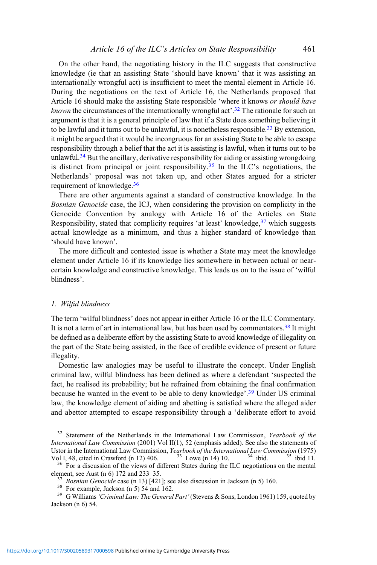On the other hand, the negotiating history in the ILC suggests that constructive knowledge (ie that an assisting State 'should have known' that it was assisting an internationally wrongful act) is insufficient to meet the mental element in Article 16. During the negotiations on the text of Article 16, the Netherlands proposed that Article 16 should make the assisting State responsible 'where it knows *or should have* known the circumstances of the internationally wrongful act<sup>2</sup>.<sup>32</sup> The rationale for such an argument is that it is a general principle of law that if a State does something believing it to be lawful and it turns out to be unlawful, it is nonetheless responsible.<sup>33</sup> By extension, it might be argued that it would be incongruous for an assisting State to be able to escape responsibility through a belief that the act it is assisting is lawful, when it turns out to be unlawful.<sup>34</sup> But the ancillary, derivative responsibility for aiding or assisting wrongdoing is distinct from principal or joint responsibility.<sup>35</sup> In the ILC's negotiations, the Netherlands' proposal was not taken up, and other States argued for a stricter requirement of knowledge.36

There are other arguments against a standard of constructive knowledge. In the Bosnian Genocide case, the ICJ, when considering the provision on complicity in the Genocide Convention by analogy with Article 16 of the Articles on State Responsibility, stated that complicity requires 'at least' knowledge,  $37$  which suggests actual knowledge as a minimum, and thus a higher standard of knowledge than 'should have known'.

The more difficult and contested issue is whether a State may meet the knowledge element under Article 16 if its knowledge lies somewhere in between actual or nearcertain knowledge and constructive knowledge. This leads us on to the issue of 'wilful blindness'.

#### 1. Wilful blindness

The term 'wilful blindness' does not appear in either Article 16 or the ILC Commentary. It is not a term of art in international law, but has been used by commentators.<sup>38</sup> It might be defined as a deliberate effort by the assisting State to avoid knowledge of illegality on the part of the State being assisted, in the face of credible evidence of present or future illegality.

Domestic law analogies may be useful to illustrate the concept. Under English criminal law, wilful blindness has been defined as where a defendant 'suspected the fact, he realised its probability; but he refrained from obtaining the final confirmation because he wanted in the event to be able to deny knowledge'.<sup>39</sup> Under US criminal law, the knowledge element of aiding and abetting is satisfied where the alleged aider and abettor attempted to escape responsibility through a 'deliberate effort to avoid

<sup>36</sup> For a discussion of the views of different States during the ILC negotiations on the mental element, see Aust (n 6) 172 and 233–35.

<sup>37</sup> Bosnian Genocide case (n 13) [421]; see also discussion in Jackson (n 5) 160.<br><sup>38</sup> For example, Jackson (n 5) 54 and 162.<br><sup>39</sup> G Williams 'Criminal Law: The General Part' (Stevens & Sons, London 1961) 159, quoted by Jackson (n 6) 54.

 $32$  Statement of the Netherlands in the International Law Commission, Yearbook of the International Law Commission (2001) Vol II(1), 52 (emphasis added). See also the statements of Ustor in the International Law Commission, *Yearbook of the International Law Commission* (1975) Vol I, 48, cited in Crawford (n 12) 406. <sup>33</sup> Lowe (n 14) 10. <sup>34</sup> ibid. <sup>35</sup> ibid 11.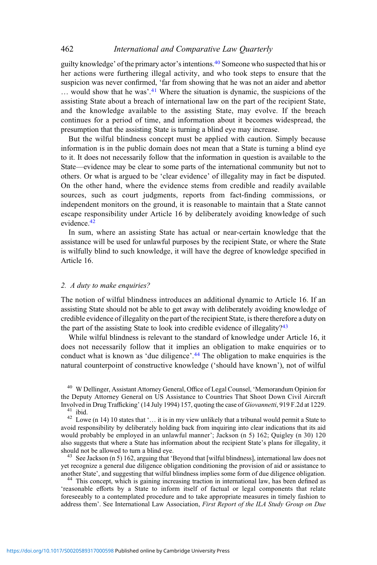guilty knowledge' of the primary actor's intentions.40 Someone who suspected that his or her actions were furthering illegal activity, and who took steps to ensure that the suspicion was never confirmed, 'far from showing that he was not an aider and abettor ... would show that he was'.<sup>41</sup> Where the situation is dynamic, the suspicions of the assisting State about a breach of international law on the part of the recipient State, and the knowledge available to the assisting State, may evolve. If the breach continues for a period of time, and information about it becomes widespread, the presumption that the assisting State is turning a blind eye may increase.

But the wilful blindness concept must be applied with caution. Simply because information is in the public domain does not mean that a State is turning a blind eye to it. It does not necessarily follow that the information in question is available to the State—evidence may be clear to some parts of the international community but not to others. Or what is argued to be 'clear evidence' of illegality may in fact be disputed. On the other hand, where the evidence stems from credible and readily available sources, such as court judgments, reports from fact-finding commissions, or independent monitors on the ground, it is reasonable to maintain that a State cannot escape responsibility under Article 16 by deliberately avoiding knowledge of such evidence.42

In sum, where an assisting State has actual or near-certain knowledge that the assistance will be used for unlawful purposes by the recipient State, or where the State is wilfully blind to such knowledge, it will have the degree of knowledge specified in Article 16.

#### 2. A duty to make enquiries?

The notion of wilful blindness introduces an additional dynamic to Article 16. If an assisting State should not be able to get away with deliberately avoiding knowledge of credible evidence of illegality on the part of the recipient State, is there therefore a duty on the part of the assisting State to look into credible evidence of illegality? $43$ 

While wilful blindness is relevant to the standard of knowledge under Article 16, it does not necessarily follow that it implies an obligation to make enquiries or to conduct what is known as 'due diligence'.<sup>44</sup> The obligation to make enquiries is the natural counterpoint of constructive knowledge ('should have known'), not of wilful

<sup>40</sup> W Dellinger, Assistant Attorney General, Office of Legal Counsel, 'Memorandum Opinion for the Deputy Attorney General on US Assistance to Countries That Shoot Down Civil Aircraft<br>Involved in Drug Trafficking' (14 July 1994) 157, quoting the case of *Giovannetti*, 919 F.2d at 1229.

<sup>41</sup> ibid. <sup>42</sup> Lowe (n 14) 10 states that '… it is in my view unlikely that a tribunal would permit a State to avoid responsibility by deliberately holding back from inquiring into clear indications that its aid would probably be employed in an unlawful manner'; Jackson (n 5) 162; Quigley (n 30) 120 also suggests that where a State has information about the recipient State's plans for illegality, it should not be allowed to turn a blind eve.

<sup>43</sup> See Jackson (n 5) 162, arguing that 'Beyond that [wilful blindness], international law does not yet recognize a general due diligence obligation conditioning the provision of aid or assistance to another State', and suggesting that wilful blindness implies some form of due diligence obligation.

<sup>44</sup> This concept, which is gaining increasing traction in international law, has been defined as 'reasonable efforts by a State to inform itself of factual or legal components that relate foreseeably to a contemplated procedure and to take appropriate measures in timely fashion to address them'. See International Law Association, First Report of the ILA Study Group on Due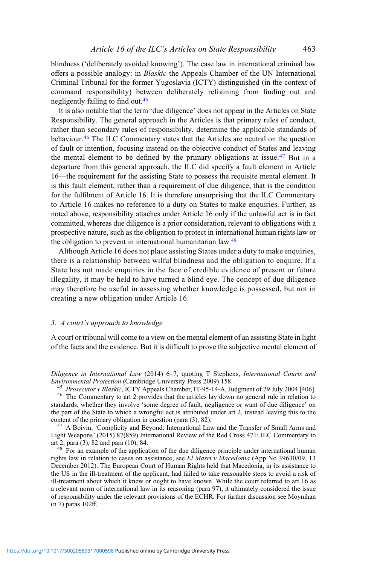blindness ('deliberately avoided knowing'). The case law in international criminal law offers a possible analogy: in Blaskic the Appeals Chamber of the UN International Criminal Tribunal for the former Yugoslavia (ICTY) distinguished (in the context of command responsibility) between deliberately refraining from finding out and negligently failing to find out.45

It is also notable that the term 'due diligence' does not appear in the Articles on State Responsibility. The general approach in the Articles is that primary rules of conduct, rather than secondary rules of responsibility, determine the applicable standards of behaviour.<sup>46</sup> The ILC Commentary states that the Articles are neutral on the question of fault or intention, focusing instead on the objective conduct of States and leaving the mental element to be defined by the primary obligations at issue.<sup>47</sup> But in a departure from this general approach, the ILC did specify a fault element in Article 16—the requirement for the assisting State to possess the requisite mental element. It is this fault element, rather than a requirement of due diligence, that is the condition for the fulfilment of Article 16. It is therefore unsurprising that the ILC Commentary to Article 16 makes no reference to a duty on States to make enquiries. Further, as noted above, responsibility attaches under Article 16 only if the unlawful act is in fact committed, whereas due diligence is a prior consideration, relevant to obligations with a prospective nature, such as the obligation to protect in international human rights law or the obligation to prevent in international humanitarian law.<sup>48</sup>

Although Article 16 does not place assisting States under a duty to make enquiries, there is a relationship between wilful blindness and the obligation to enquire. If a State has not made enquiries in the face of credible evidence of present or future illegality, it may be held to have turned a blind eye. The concept of due diligence may therefore be useful in assessing whether knowledge is possessed, but not in creating a new obligation under Article 16.

#### 3. A court's approach to knowledge

A court or tribunal will come to a view on the mental element of an assisting State in light of the facts and the evidence. But it is difficult to prove the subjective mental element of

Diligence in International Law (2014) 6–7, quoting T Stephens, International Courts and Environmental Protection (Cambridge University Press 2009) 158.

<sup>45</sup> *Prosecutor v Blaskic*, ICTY Appeals Chamber, IT-95-14-A, Judgment of 29 July 2004 [406].<br><sup>46</sup> The Commentary to art 2 provides that the articles lay down no general rule in relation to standards, whether they involve 'some degree of fault, negligence or want of due diligence' on the part of the State to which a wrongful act is attributed under art 2, instead leaving this to the content of the primary obligation in question (para  $(3)$ ,  $(82)$ ).

 $^{47}$  A Boivin, 'Complicity and Beyond: International Law and the Transfer of Small Arms and Light Weapons' (2015) 87(859) International Review of the Red Cross 471; ILC Commentary to

 $48<sup>2</sup>$  For an example of the application of the due diligence principle under international human rights law in relation to cases on assistance, see El Masri v Macedonia (App No 39630/09, 13 December 2012). The European Court of Human Rights held that Macedonia, in its assistance to the US in the ill-treatment of the applicant, had failed to take reasonable steps to avoid a risk of ill-treatment about which it knew or ought to have known. While the court referred to art 16 as a relevant norm of international law in its reasoning (para 97), it ultimately considered the issue of responsibility under the relevant provisions of the ECHR. For further discussion see Moynihan (n 7) paras 102ff.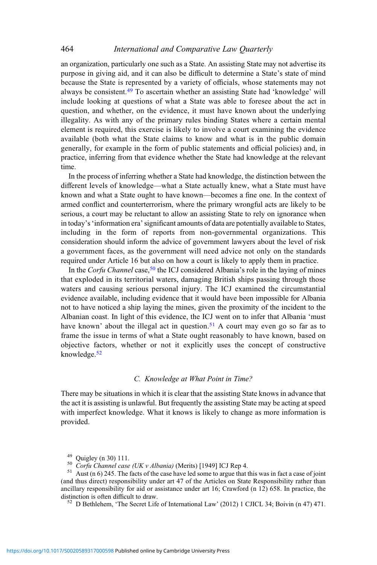an organization, particularly one such as a State. An assisting State may not advertise its purpose in giving aid, and it can also be difficult to determine a State's state of mind because the State is represented by a variety of officials, whose statements may not always be consistent.<sup>49</sup> To ascertain whether an assisting State had 'knowledge' will include looking at questions of what a State was able to foresee about the act in question, and whether, on the evidence, it must have known about the underlying illegality. As with any of the primary rules binding States where a certain mental element is required, this exercise is likely to involve a court examining the evidence available (both what the State claims to know and what is in the public domain generally, for example in the form of public statements and official policies) and, in practice, inferring from that evidence whether the State had knowledge at the relevant time.

In the process of inferring whether a State had knowledge, the distinction between the different levels of knowledge—what a State actually knew, what a State must have known and what a State ought to have known—becomes a fine one. In the context of armed conflict and counterterrorism, where the primary wrongful acts are likely to be serious, a court may be reluctant to allow an assisting State to rely on ignorance when in today's'information era'significant amounts of data are potentially available to States, including in the form of reports from non-governmental organizations. This consideration should inform the advice of government lawyers about the level of risk a government faces, as the government will need advice not only on the standards required under Article 16 but also on how a court is likely to apply them in practice.

In the Corfu Channel case,  $50$  the ICJ considered Albania's role in the laying of mines that exploded in its territorial waters, damaging British ships passing through those waters and causing serious personal injury. The ICJ examined the circumstantial evidence available, including evidence that it would have been impossible for Albania not to have noticed a ship laying the mines, given the proximity of the incident to the Albanian coast. In light of this evidence, the ICJ went on to infer that Albania 'must have known' about the illegal act in question.<sup>51</sup> A court may even go so far as to frame the issue in terms of what a State ought reasonably to have known, based on objective factors, whether or not it explicitly uses the concept of constructive knowledge.52

#### C. Knowledge at What Point in Time?

There may be situations in which it is clear that the assisting State knows in advance that the act it is assisting is unlawful. But frequently the assisting State may be acting at speed with imperfect knowledge. What it knows is likely to change as more information is provided.

 $^{52}$  D Bethlehem, 'The Secret Life of International Law' (2012) 1 CJICL 34; Boivin (n 47) 471.

<sup>&</sup>lt;sup>49</sup> Quigley (n 30) 111.<br><sup>50</sup> Corfu Channel case (UK v Albania) (Merits) [1949] ICJ Rep 4.<br><sup>51</sup> Aust (n 6) 245. The facts of the case have led some to argue that this was in fact a case of joint (and thus direct) responsibility under art 47 of the Articles on State Responsibility rather than ancillary responsibility for aid or assistance under art 16; Crawford (n 12) 658. In practice, the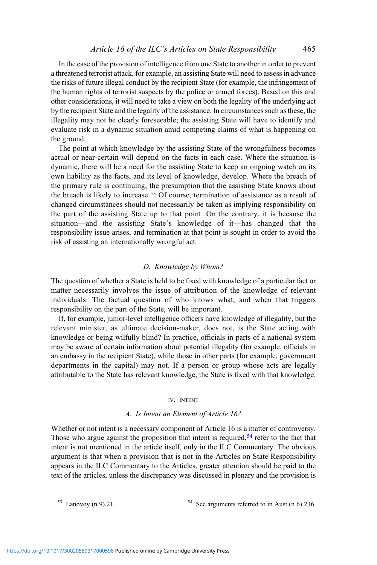### Article 16 of the ILC's Articles on State Responsibility 465

In the case of the provision of intelligence from one State to another in order to prevent a threatened terrorist attack, for example, an assisting State will need to assess in advance the risks of future illegal conduct by the recipient State (for example, the infringement of the human rights of terrorist suspects by the police or armed forces). Based on this and other considerations, it will need to take a view on both the legality of the underlying act by the recipient State and the legality of the assistance. In circumstances such as these, the illegality may not be clearly foreseeable; the assisting State will have to identify and evaluate risk in a dynamic situation amid competing claims of what is happening on the ground.

The point at which knowledge by the assisting State of the wrongfulness becomes actual or near-certain will depend on the facts in each case. Where the situation is dynamic, there will be a need for the assisting State to keep an ongoing watch on its own liability as the facts, and its level of knowledge, develop. Where the breach of the primary rule is continuing, the presumption that the assisting State knows about the breach is likely to increase.<sup>53</sup> Of course, termination of assistance as a result of changed circumstances should not necessarily be taken as implying responsibility on the part of the assisting State up to that point. On the contrary, it is because the situation—and the assisting State's knowledge of it—has changed that the responsibility issue arises, and termination at that point is sought in order to avoid the risk of assisting an internationally wrongful act.

### D. Knowledge by Whom?

The question of whether a State is held to be fixed with knowledge of a particular fact or matter necessarily involves the issue of attribution of the knowledge of relevant individuals. The factual question of who knows what, and when that triggers responsibility on the part of the State, will be important.

If, for example, junior-level intelligence officers have knowledge of illegality, but the relevant minister, as ultimate decision-maker, does not, is the State acting with knowledge or being wilfully blind? In practice, officials in parts of a national system may be aware of certain information about potential illegality (for example, officials in an embassy in the recipient State), while those in other parts (for example, government departments in the capital) may not. If a person or group whose acts are legally attributable to the State has relevant knowledge, the State is fixed with that knowledge.

#### IV. INTENT

#### A. Is Intent an Element of Article 16?

Whether or not intent is a necessary component of Article 16 is a matter of controversy. Those who argue against the proposition that intent is required,  $54$  refer to the fact that intent is not mentioned in the article itself, only in the ILC Commentary. The obvious argument is that when a provision that is not in the Articles on State Responsibility appears in the ILC Commentary to the Articles, greater attention should be paid to the text of the articles, unless the discrepancy was discussed in plenary and the provision is

 $53$  Lanovoy (n 9) 21.  $54$  See arguments referred to in Aust (n 6) 236.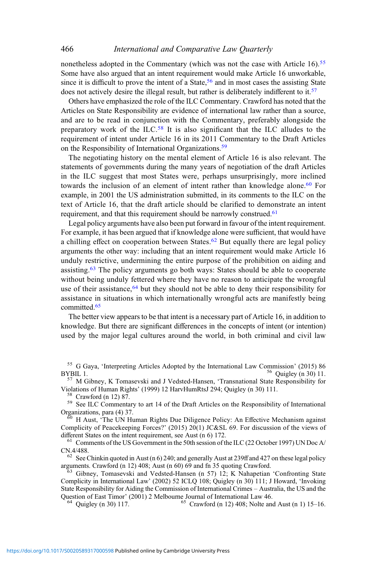nonetheless adopted in the Commentary (which was not the case with Article 16).<sup>55</sup> Some have also argued that an intent requirement would make Article 16 unworkable, since it is difficult to prove the intent of a State,  $56$  and in most cases the assisting State does not actively desire the illegal result, but rather is deliberately indifferent to it.<sup>57</sup>

Others have emphasized the role of the ILC Commentary. Crawford has noted that the Articles on State Responsibility are evidence of international law rather than a source, and are to be read in conjunction with the Commentary, preferably alongside the preparatory work of the ILC.<sup>58</sup> It is also significant that the ILC alludes to the requirement of intent under Article 16 in its 2011 Commentary to the Draft Articles on the Responsibility of International Organizations.<sup>59</sup>

The negotiating history on the mental element of Article 16 is also relevant. The statements of governments during the many years of negotiation of the draft Articles in the ILC suggest that most States were, perhaps unsurprisingly, more inclined towards the inclusion of an element of intent rather than knowledge alone.<sup>60</sup> For example, in 2001 the US administration submitted, in its comments to the ILC on the text of Article 16, that the draft article should be clarified to demonstrate an intent requirement, and that this requirement should be narrowly construed.<sup>61</sup>

Legal policy arguments have also been put forward in favour of the intent requirement. For example, it has been argued that if knowledge alone were sufficient, that would have a chilling effect on cooperation between States.<sup>62</sup> But equally there are legal policy arguments the other way: including that an intent requirement would make Article 16 unduly restrictive, undermining the entire purpose of the prohibition on aiding and assisting.<sup>63</sup> The policy arguments go both ways: States should be able to cooperate without being unduly fettered where they have no reason to anticipate the wrongful use of their assistance,  $64$  but they should not be able to deny their responsibility for assistance in situations in which internationally wrongful acts are manifestly being committed.65

The better view appears to be that intent is a necessary part of Article 16, in addition to knowledge. But there are significant differences in the concepts of intent (or intention) used by the major legal cultures around the world, in both criminal and civil law

<sup>H</sup> H Aust, 'The UN Human Rights Due Diligence Policy: An Effective Mechanism against Complicity of Peacekeeping Forces?' (2015) 20(1) JC&SL 69. For discussion of the views of different States on the intent requirement, see Aust (n 6) 172.

 $^{61}$  Comments of the US Government in the 50th session of the ILC (22 October 1997) UN Doc A/CN.4/488.

<sup>62</sup> See Chinkin quoted in Aust (n 6) 240; and generally Aust at 239ff and 427 on these legal policy arguments. Crawford (n 12) 408; Aust (n 60) 69 and fn 35 quoting Crawford.

 $\overline{63}$  Gibney, Tomasevski and Vedsted-Hansen (n 57) 12; K Nahapetian 'Confronting State Complicity in International Law' (2002) 52 ICLQ 108; Quigley (n 30) 111; J Howard, 'Invoking State Responsibility for Aiding the Commission of International Crimes – Australia, the US and the

 $^{64}$  Ouigley (n 30) 117. <sup>65</sup> Crawford (n 12) 408; Nolte and Aust (n 1) 15–16.

<sup>&</sup>lt;sup>55</sup> G Gaya, 'Interpreting Articles Adopted by the International Law Commission' (2015) 86 BYBIL 1.

 $^{57}$  M Gibney, K Tomasevski and J Vedsted-Hansen, 'Transnational State Responsibility for Violations of Human Rights' (1999) 12 HarvHumRtsJ 294; Quigley (n 30) 111.

<sup>&</sup>lt;sup>58</sup> Crawford (n 12) 87.<br><sup>59</sup> See ILC Commentary to art 14 of the Draft Articles on the Responsibility of International Organizations, para (4) 37.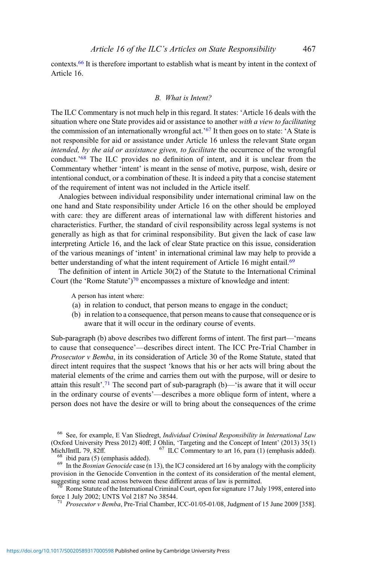contexts.66 It is therefore important to establish what is meant by intent in the context of Article 16.

### B. What is Intent?

The ILC Commentary is not much help in this regard. It states: 'Article 16 deals with the situation where one State provides aid or assistance to another with a view to facilitating the commission of an internationally wrongful act.<sup>'67</sup> It then goes on to state: 'A State is not responsible for aid or assistance under Article 16 unless the relevant State organ intended, by the aid or assistance given, to facilitate the occurrence of the wrongful conduct.'<sup>68</sup> The ILC provides no definition of intent, and it is unclear from the Commentary whether 'intent' is meant in the sense of motive, purpose, wish, desire or intentional conduct, or a combination of these. It is indeed a pity that a concise statement of the requirement of intent was not included in the Article itself.

Analogies between individual responsibility under international criminal law on the one hand and State responsibility under Article 16 on the other should be employed with care: they are different areas of international law with different histories and characteristics. Further, the standard of civil responsibility across legal systems is not generally as high as that for criminal responsibility. But given the lack of case law interpreting Article 16, and the lack of clear State practice on this issue, consideration of the various meanings of 'intent' in international criminal law may help to provide a better understanding of what the intent requirement of Article 16 might entail.<sup>69</sup>

The definition of intent in Article 30(2) of the Statute to the International Criminal Court (the 'Rome Statute')<sup>70</sup> encompasses a mixture of knowledge and intent:

A person has intent where:

- (a) in relation to conduct, that person means to engage in the conduct;
- (b) in relation to a consequence, that person means to cause that consequence or is aware that it will occur in the ordinary course of events.

Sub-paragraph (b) above describes two different forms of intent. The first part—'means to cause that consequence'—describes direct intent. The ICC Pre-Trial Chamber in Prosecutor v Bemba, in its consideration of Article 30 of the Rome Statute, stated that direct intent requires that the suspect 'knows that his or her acts will bring about the material elements of the crime and carries them out with the purpose, will or desire to attain this result'.<sup>71</sup> The second part of sub-paragraph (b)—'is aware that it will occur in the ordinary course of events'—describes a more oblique form of intent, where a person does not have the desire or will to bring about the consequences of the crime

<sup>68</sup> ibid para (5) (emphasis added). <sup>69</sup> In the *Bosnian Genocide* case (n 13), the ICJ considered art 16 by analogy with the complicity provision in the Genocide Convention in the context of its consideration of the mental element, suggesting some read across between these different areas of law is permitted.

 $\frac{70}{70}$  Rome Statute of the International Criminal Court, open for signature 17 July 1998, entered into force 1 July 2002; UNTS Vol 2187 No 38544.

<sup>&</sup>lt;sup>66</sup> See, for example, E Van Sliedregt, *Individual Criminal Responsibility in International Law* (Oxford University Press 2012) 40ff; J Ohlin, 'Targeting and the Concept of Intent' (2013) 35(1) MichJIntlL 79, 82ff.

 $^{71}$  Prosecutor v Bemba, Pre-Trial Chamber, ICC-01/05-01/08, Judgment of 15 June 2009 [358].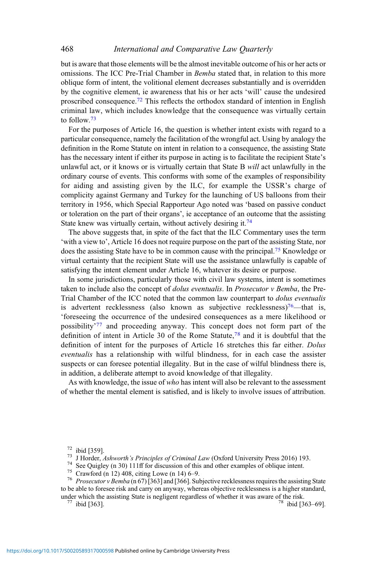but is aware that those elements will be the almost inevitable outcome of his or her acts or omissions. The ICC Pre-Trial Chamber in Bemba stated that, in relation to this more oblique form of intent, the volitional element decreases substantially and is overridden by the cognitive element, ie awareness that his or her acts 'will' cause the undesired proscribed consequence.<sup>72</sup> This reflects the orthodox standard of intention in English criminal law, which includes knowledge that the consequence was virtually certain to follow.<sup>73</sup>

For the purposes of Article 16, the question is whether intent exists with regard to a particular consequence, namely the facilitation of the wrongful act. Using by analogy the definition in the Rome Statute on intent in relation to a consequence, the assisting State has the necessary intent if either its purpose in acting is to facilitate the recipient State's unlawful act, or it knows or is virtually certain that State B will act unlawfully in the ordinary course of events. This conforms with some of the examples of responsibility for aiding and assisting given by the ILC, for example the USSR's charge of complicity against Germany and Turkey for the launching of US balloons from their territory in 1956, which Special Rapporteur Ago noted was 'based on passive conduct or toleration on the part of their organs', ie acceptance of an outcome that the assisting State knew was virtually certain, without actively desiring it.<sup>74</sup>

The above suggests that, in spite of the fact that the ILC Commentary uses the term 'with a view to', Article 16 does not require purpose on the part of the assisting State, nor does the assisting State have to be in common cause with the principal.75 Knowledge or virtual certainty that the recipient State will use the assistance unlawfully is capable of satisfying the intent element under Article 16, whatever its desire or purpose.

In some jurisdictions, particularly those with civil law systems, intent is sometimes taken to include also the concept of dolus eventualis. In Prosecutor v Bemba, the Pre-Trial Chamber of the ICC noted that the common law counterpart to dolus eventualis is advertent recklessness (also known as subjective recklessness)<sup>76</sup>—that is, 'foreseeing the occurrence of the undesired consequences as a mere likelihood or possibility'<sup>77</sup> and proceeding anyway. This concept does not form part of the definition of intent in Article 30 of the Rome Statute,<sup>78</sup> and it is doubtful that the definition of intent for the purposes of Article 16 stretches this far either. Dolus eventualis has a relationship with wilful blindness, for in each case the assister suspects or can foresee potential illegality. But in the case of wilful blindness there is, in addition, a deliberate attempt to avoid knowledge of that illegality.

As with knowledge, the issue of  $who$  has intent will also be relevant to the assessment of whether the mental element is satisfied, and is likely to involve issues of attribution.

<sup>72</sup> ibid [359].<br><sup>73</sup> J Horder, *Ashworth's Principles of Criminal Law* (Oxford University Press 2016) 193.<br><sup>74</sup> See Quigley (n 30) 111ff for discussion of this and other examples of oblique intent.<br><sup>75</sup> Crawford (n 12) 4 to be able to foresee risk and carry on anyway, whereas objective recklessness is a higher standard,

under which the assisting State is negligent regardless of whether it was aware of the risk.<br><sup>77</sup> ibid [363]. <sup>78</sup> ibid [363–69].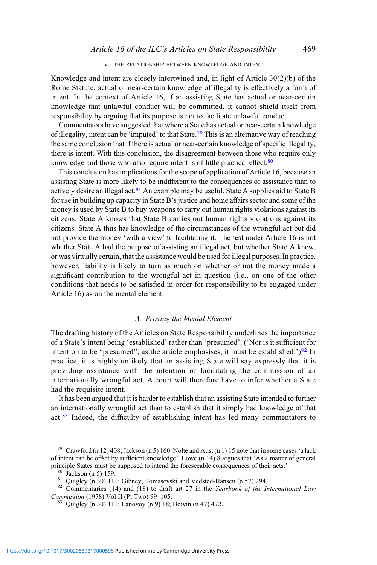#### V. THE RELATIONSHIP BETWEEN KNOWLEDGE AND INTENT

Knowledge and intent are closely intertwined and, in light of Article 30(2)(b) of the Rome Statute, actual or near-certain knowledge of illegality is effectively a form of intent. In the context of Article 16, if an assisting State has actual or near-certain knowledge that unlawful conduct will be committed, it cannot shield itself from responsibility by arguing that its purpose is not to facilitate unlawful conduct.

Commentators have suggested that where a State has actual or near-certain knowledge of illegality, intent can be 'imputed' to that State.<sup>79</sup> This is an alternative way of reaching the same conclusion that if there is actual or near-certain knowledge of specific illegality, there is intent. With this conclusion, the disagreement between those who require only knowledge and those who also require intent is of little practical effect.<sup>80</sup>

This conclusion has implications for the scope of application of Article 16, because an assisting State is more likely to be indifferent to the consequences of assistance than to actively desire an illegal act.<sup>81</sup> An example may be useful. State A supplies aid to State B for use in building up capacity in State B's justice and home affairs sector and some of the money is used by State B to buy weapons to carry out human rights violations against its citizens. State A knows that State B carries out human rights violations against its citizens. State A thus has knowledge of the circumstances of the wrongful act but did not provide the money 'with a view' to facilitating it. The test under Article 16 is not whether State A had the purpose of assisting an illegal act, but whether State A knew, or was virtually certain, that the assistance would be used for illegal purposes. In practice, however, liability is likely to turn as much on whether or not the money made a significant contribution to the wrongful act in question (i.e., on one of the other conditions that needs to be satisfied in order for responsibility to be engaged under Article 16) as on the mental element.

#### A. Proving the Mental Element

The drafting history of the Articles on State Responsibility underlines the importance of a State's intent being 'established' rather than 'presumed'. ('Nor is it sufficient for intention to be "presumed"; as the article emphasises, it must be established.' $)^{82}$  In practice, it is highly unlikely that an assisting State will say expressly that it is providing assistance with the intention of facilitating the commission of an internationally wrongful act. A court will therefore have to infer whether a State had the requisite intent.

It has been argued that it is harder to establish that an assisting State intended to further an internationally wrongful act than to establish that it simply had knowledge of that act.<sup>83</sup> Indeed, the difficulty of establishing intent has led many commentators to

<sup>79</sup> Crawford (n 12) 408; Jackson (n 5) 160. Nolte and Aust (n 1) 15 note that in some cases 'a lack of intent can be offset by sufficient knowledge'. Lowe (n 14) 8 argues that 'As a matter of general

<sup>80</sup> Jackson (n 5) 159.<br><sup>81</sup> Quigley (n 30) 111; Gibney, Tomasevski and Vedsted-Hansen (n 57) 294.<br><sup>82</sup> Commentaries (14) and (18) to draft art 27 in the *Yearbook of the International Law*<br>*Commission* (1978) Vol II (Pt

 $83$  Quigley (n 30) 111; Lanovoy (n 9) 18; Boivin (n 47) 472.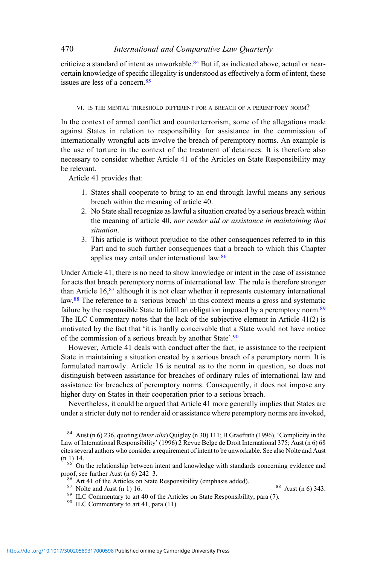criticize a standard of intent as unworkable.<sup>84</sup> But if, as indicated above, actual or nearcertain knowledge of specific illegality is understood as effectively a form of intent, these issues are less of a concern.<sup>85</sup>

#### VI. IS THE MENTAL THRESHOLD DIFFERENT FOR A BREACH OF A PEREMPTORY NORM?

In the context of armed conflict and counterterrorism, some of the allegations made against States in relation to responsibility for assistance in the commission of internationally wrongful acts involve the breach of peremptory norms. An example is the use of torture in the context of the treatment of detainees. It is therefore also necessary to consider whether Article 41 of the Articles on State Responsibility may be relevant.

Article 41 provides that:

- 1. States shall cooperate to bring to an end through lawful means any serious breach within the meaning of article 40.
- 2. No State shall recognize as lawful a situation created by a serious breach within the meaning of article 40, nor render aid or assistance in maintaining that situation.
- 3. This article is without prejudice to the other consequences referred to in this Part and to such further consequences that a breach to which this Chapter applies may entail under international law.<sup>86</sup>

Under Article 41, there is no need to show knowledge or intent in the case of assistance for acts that breach peremptory norms of international law. The rule is therefore stronger than Article 16,87 although it is not clear whether it represents customary international law.<sup>88</sup> The reference to a 'serious breach' in this context means a gross and systematic failure by the responsible State to fulfil an obligation imposed by a peremptory norm.<sup>89</sup> The ILC Commentary notes that the lack of the subjective element in Article 41(2) is motivated by the fact that 'it is hardly conceivable that a State would not have notice of the commission of a serious breach by another State'.<sup>90</sup>

However, Article 41 deals with conduct after the fact, ie assistance to the recipient State in maintaining a situation created by a serious breach of a peremptory norm. It is formulated narrowly. Article 16 is neutral as to the norm in question, so does not distinguish between assistance for breaches of ordinary rules of international law and assistance for breaches of peremptory norms. Consequently, it does not impose any higher duty on States in their cooperation prior to a serious breach.

Nevertheless, it could be argued that Article 41 more generally implies that States are under a stricter duty not to render aid or assistance where peremptory norms are invoked,

<sup>&</sup>lt;sup>84</sup> Aust (n 6) 236, quoting (*inter alia*) Quigley (n 30) 111; B Graefrath (1996), 'Complicity in the Law of International Responsibility' (1996) 2 Revue Belge de Droit International 375; Aust (n 6) 68 cites several authors who consider a requirement of intent to be unworkable. See also Nolte and Aust

 $\frac{85}{100}$  On the relationship between intent and knowledge with standards concerning evidence and proof, see further Aust (n 6) 242–3.

<sup>&</sup>lt;sup>86</sup> Art 41 of the Articles on State Responsibility (emphasis added).<br><sup>87</sup> Nolte and Aust (n 1) 16.<br><sup>89</sup> ILC Commentary to art 40 of the Articles on State Responsibility, para (7).<br><sup>90</sup> ILC Commentary to art 41, para (11)